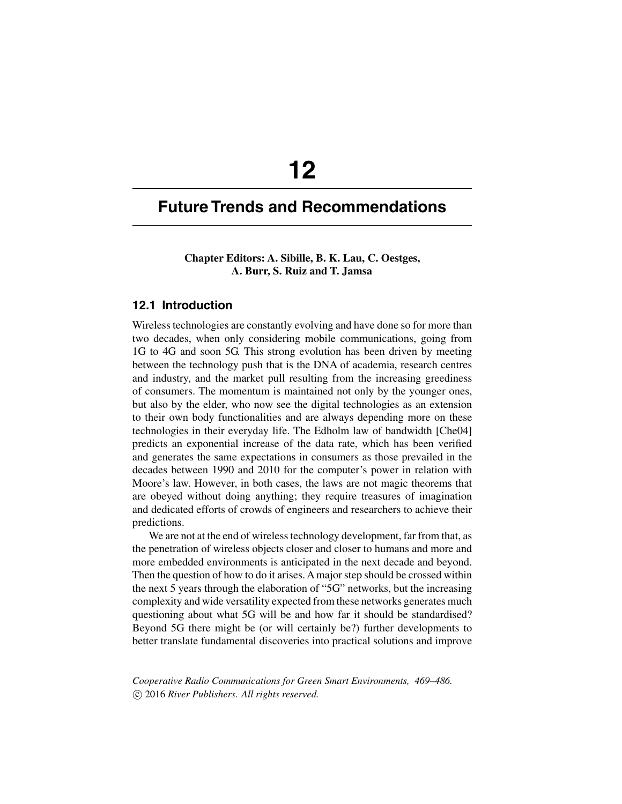# **12**

## **Future Trends and Recommendations**

## **Chapter Editors: A. Sibille, B. K. Lau, C. Oestges, A. Burr, S. Ruiz and T. Jamsa**

## **12.1 Introduction**

Wireless technologies are constantly evolving and have done so for more than two decades, when only considering mobile communications, going from 1G to 4G and soon 5G. This strong evolution has been driven by meeting between the technology push that is the DNA of academia, research centres and industry, and the market pull resulting from the increasing greediness of consumers. The momentum is maintained not only by the younger ones, but also by the elder, who now see the digital technologies as an extension to their own body functionalities and are always depending more on these technologies in their everyday life. The Edholm law of bandwidth [Che04] predicts an exponential increase of the data rate, which has been verified and generates the same expectations in consumers as those prevailed in the decades between 1990 and 2010 for the computer's power in relation with Moore's law. However, in both cases, the laws are not magic theorems that are obeyed without doing anything; they require treasures of imagination and dedicated efforts of crowds of engineers and researchers to achieve their predictions.

We are not at the end of wireless technology development, far from that, as the penetration of wireless objects closer and closer to humans and more and more embedded environments is anticipated in the next decade and beyond. Then the question of how to do it arises. A major step should be crossed within the next 5 years through the elaboration of "5G" networks, but the increasing complexity and wide versatility expected from these networks generates much questioning about what 5G will be and how far it should be standardised? Beyond 5G there might be (or will certainly be?) further developments to better translate fundamental discoveries into practical solutions and improve

*Cooperative Radio Communications for Green Smart Environments, 469–486.* -c 2016 *River Publishers. All rights reserved.*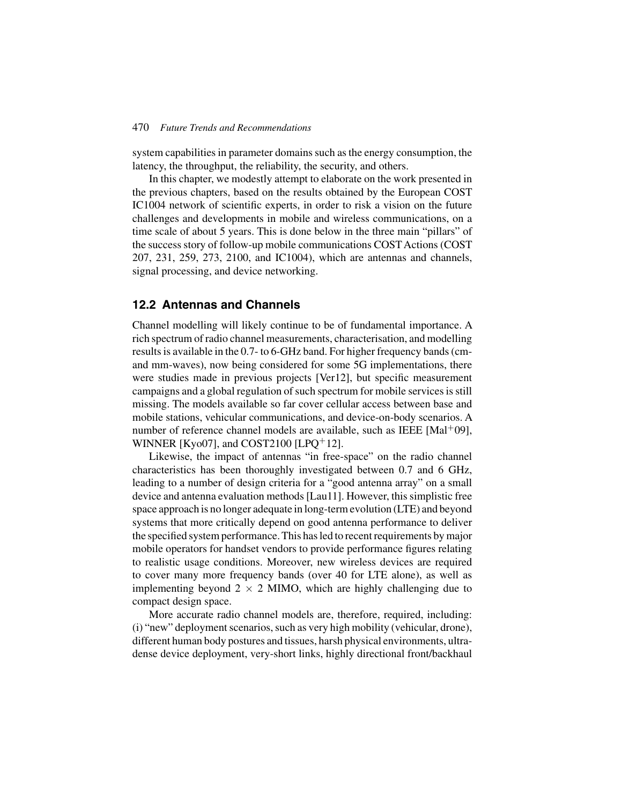system capabilities in parameter domains such as the energy consumption, the latency, the throughput, the reliability, the security, and others.

In this chapter, we modestly attempt to elaborate on the work presented in the previous chapters, based on the results obtained by the European COST IC1004 network of scientific experts, in order to risk a vision on the future challenges and developments in mobile and wireless communications, on a time scale of about 5 years. This is done below in the three main "pillars" of the success story of follow-up mobile communications COST Actions (COST 207, 231, 259, 273, 2100, and IC1004), which are antennas and channels, signal processing, and device networking.

### **12.2 Antennas and Channels**

Channel modelling will likely continue to be of fundamental importance. A rich spectrum of radio channel measurements, characterisation, and modelling results is available in the 0.7- to 6-GHz band. For higher frequency bands (cmand mm-waves), now being considered for some 5G implementations, there were studies made in previous projects [Ver12], but specific measurement campaigns and a global regulation of such spectrum for mobile services is still missing. The models available so far cover cellular access between base and mobile stations, vehicular communications, and device-on-body scenarios. A number of reference channel models are available, such as IEEE [Mal+09], WINNER [Kyo07], and COST2100 [LPQ<sup>+</sup>12].

Likewise, the impact of antennas "in free-space" on the radio channel characteristics has been thoroughly investigated between 0.7 and 6 GHz, leading to a number of design criteria for a "good antenna array" on a small device and antenna evaluation methods [Lau11]. However, this simplistic free space approach is no longer adequate in long-term evolution (LTE) and beyond systems that more critically depend on good antenna performance to deliver the specified system performance. This has led to recent requirements by major mobile operators for handset vendors to provide performance figures relating to realistic usage conditions. Moreover, new wireless devices are required to cover many more frequency bands (over 40 for LTE alone), as well as implementing beyond  $2 \times 2$  MIMO, which are highly challenging due to compact design space.

More accurate radio channel models are, therefore, required, including: (i) "new" deployment scenarios, such as very high mobility (vehicular, drone), different human body postures and tissues, harsh physical environments, ultradense device deployment, very-short links, highly directional front/backhaul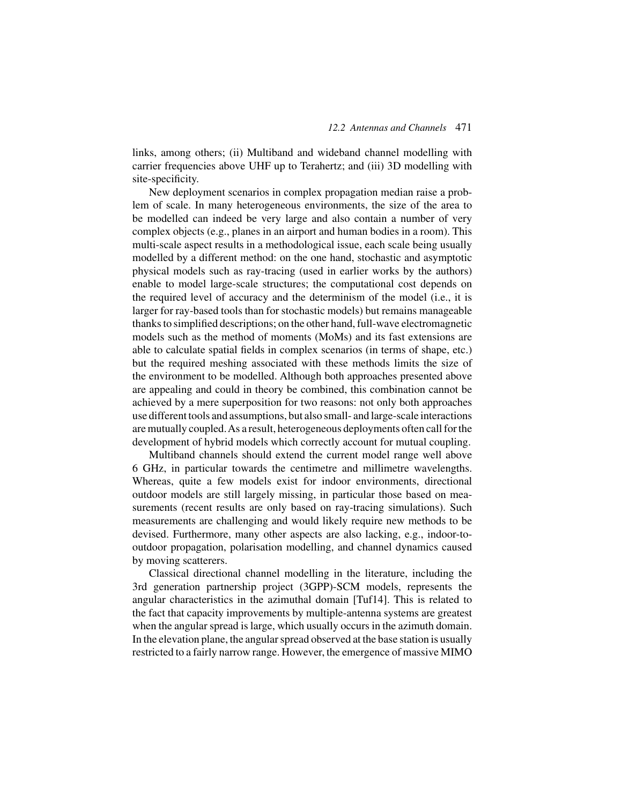links, among others; (ii) Multiband and wideband channel modelling with carrier frequencies above UHF up to Terahertz; and (iii) 3D modelling with site-specificity.

New deployment scenarios in complex propagation median raise a problem of scale. In many heterogeneous environments, the size of the area to be modelled can indeed be very large and also contain a number of very complex objects (e.g., planes in an airport and human bodies in a room). This multi-scale aspect results in a methodological issue, each scale being usually modelled by a different method: on the one hand, stochastic and asymptotic physical models such as ray-tracing (used in earlier works by the authors) enable to model large-scale structures; the computational cost depends on the required level of accuracy and the determinism of the model (i.e., it is larger for ray-based tools than for stochastic models) but remains manageable thanks to simplified descriptions; on the other hand, full-wave electromagnetic models such as the method of moments (MoMs) and its fast extensions are able to calculate spatial fields in complex scenarios (in terms of shape, etc.) but the required meshing associated with these methods limits the size of the environment to be modelled. Although both approaches presented above are appealing and could in theory be combined, this combination cannot be achieved by a mere superposition for two reasons: not only both approaches use different tools and assumptions, but also small- and large-scale interactions are mutually coupled.As a result, heterogeneous deployments often call for the development of hybrid models which correctly account for mutual coupling.

Multiband channels should extend the current model range well above 6 GHz, in particular towards the centimetre and millimetre wavelengths. Whereas, quite a few models exist for indoor environments, directional outdoor models are still largely missing, in particular those based on measurements (recent results are only based on ray-tracing simulations). Such measurements are challenging and would likely require new methods to be devised. Furthermore, many other aspects are also lacking, e.g., indoor-tooutdoor propagation, polarisation modelling, and channel dynamics caused by moving scatterers.

Classical directional channel modelling in the literature, including the 3rd generation partnership project (3GPP)-SCM models, represents the angular characteristics in the azimuthal domain [Tuf14]. This is related to the fact that capacity improvements by multiple-antenna systems are greatest when the angular spread is large, which usually occurs in the azimuth domain. In the elevation plane, the angular spread observed at the base station is usually restricted to a fairly narrow range. However, the emergence of massive MIMO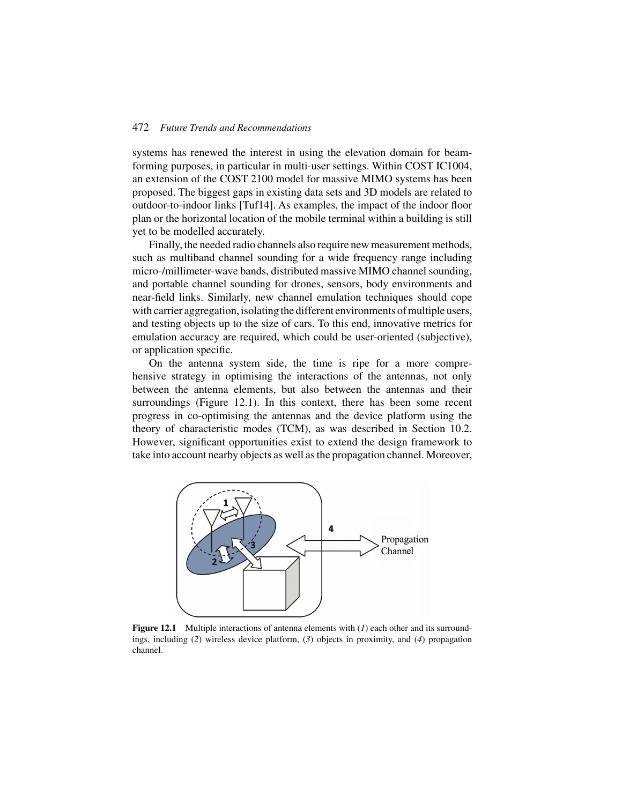systems has renewed the interest in using the elevation domain for beamforming purposes, in particular in multi-user settings. Within COST IC1004, an extension of the COST 2100 model for massive MIMO systems has been proposed. The biggest gaps in existing data sets and 3D models are related to outdoor-to-indoor links [Tuf14]. As examples, the impact of the indoor floor plan or the horizontal location of the mobile terminal within a building is still yet to be modelled accurately.

Finally, the needed radio channels also require new measurement methods, such as multiband channel sounding for a wide frequency range including micro-/millimeter-wave bands, distributed massive MIMO channel sounding, and portable channel sounding for drones, sensors, body environments and near-field links. Similarly, new channel emulation techniques should cope with carrier aggregation, isolating the different environments of multiple users, and testing objects up to the size of cars. To this end, innovative metrics for emulation accuracy are required, which could be user-oriented (subjective), or application specific.

On the antenna system side, the time is ripe for a more comprehensive strategy in optimising the interactions of the antennas, not only between the antenna elements, but also between the antennas and their surroundings (Figure 12.1). In this context, there has been some recent progress in co-optimising the antennas and the device platform using the theory of characteristic modes (TCM), as was described in Section 10.2. However, significant opportunities exist to extend the design framework to take into account nearby objects as well as the propagation channel. Moreover,



**Figure 12.1** Multiple interactions of antenna elements with (*1*) each other and its surroundings, including (*2*) wireless device platform, (*3*) objects in proximity, and (*4*) propagation channel.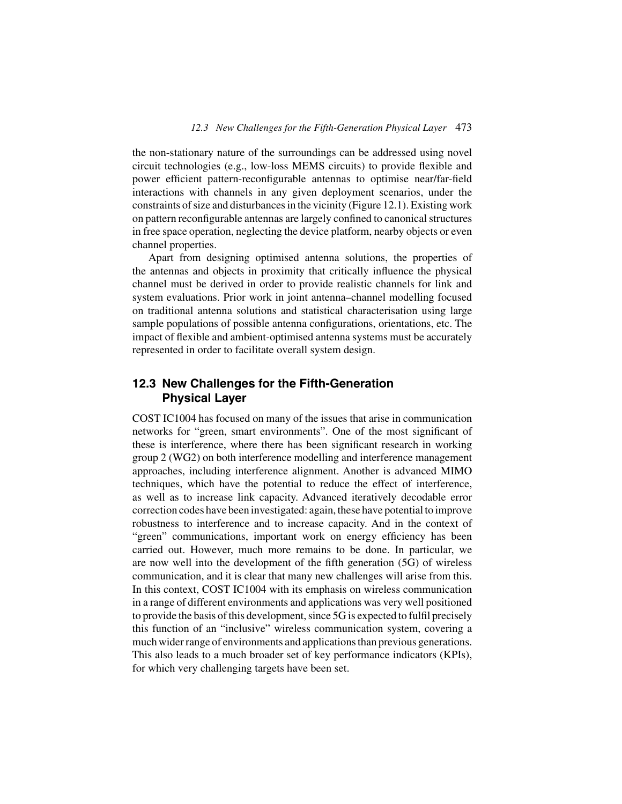the non-stationary nature of the surroundings can be addressed using novel circuit technologies (e.g., low-loss MEMS circuits) to provide flexible and power efficient pattern-reconfigurable antennas to optimise near/far-field interactions with channels in any given deployment scenarios, under the constraints of size and disturbances in the vicinity (Figure 12.1). Existing work on pattern reconfigurable antennas are largely confined to canonical structures in free space operation, neglecting the device platform, nearby objects or even channel properties.

Apart from designing optimised antenna solutions, the properties of the antennas and objects in proximity that critically influence the physical channel must be derived in order to provide realistic channels for link and system evaluations. Prior work in joint antenna–channel modelling focused on traditional antenna solutions and statistical characterisation using large sample populations of possible antenna configurations, orientations, etc. The impact of flexible and ambient-optimised antenna systems must be accurately represented in order to facilitate overall system design.

## **12.3 New Challenges for the Fifth-Generation Physical Layer**

COST IC1004 has focused on many of the issues that arise in communication networks for "green, smart environments". One of the most significant of these is interference, where there has been significant research in working group 2 (WG2) on both interference modelling and interference management approaches, including interference alignment. Another is advanced MIMO techniques, which have the potential to reduce the effect of interference, as well as to increase link capacity. Advanced iteratively decodable error correction codes have been investigated: again, these have potential to improve robustness to interference and to increase capacity. And in the context of "green" communications, important work on energy efficiency has been carried out. However, much more remains to be done. In particular, we are now well into the development of the fifth generation (5G) of wireless communication, and it is clear that many new challenges will arise from this. In this context, COST IC1004 with its emphasis on wireless communication in a range of different environments and applications was very well positioned to provide the basis of this development, since 5G is expected to fulfil precisely this function of an "inclusive" wireless communication system, covering a much wider range of environments and applications than previous generations. This also leads to a much broader set of key performance indicators (KPIs), for which very challenging targets have been set.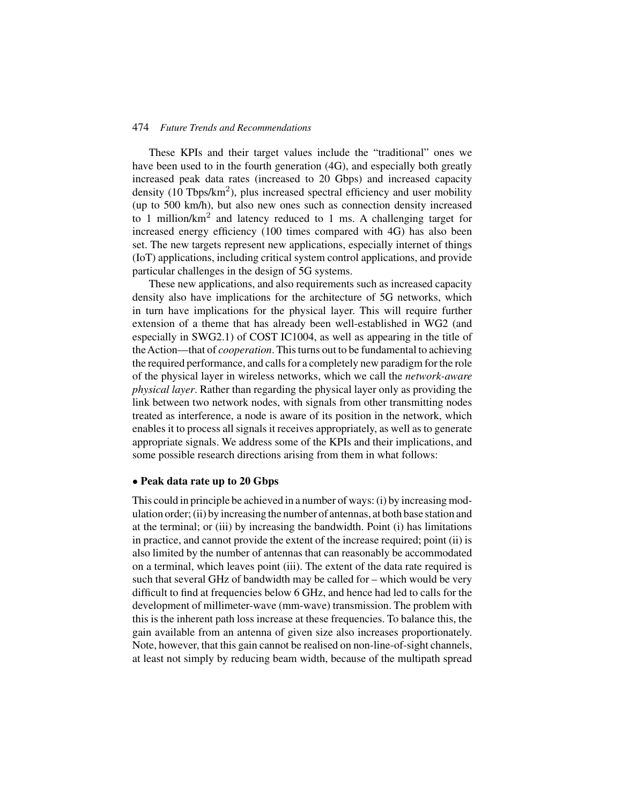These KPIs and their target values include the "traditional" ones we have been used to in the fourth generation (4G), and especially both greatly increased peak data rates (increased to 20 Gbps) and increased capacity density (10 Tbps/ $km^2$ ), plus increased spectral efficiency and user mobility (up to 500 km/h), but also new ones such as connection density increased to 1 million/ $km^2$  and latency reduced to 1 ms. A challenging target for increased energy efficiency (100 times compared with 4G) has also been set. The new targets represent new applications, especially internet of things (IoT) applications, including critical system control applications, and provide particular challenges in the design of 5G systems.

These new applications, and also requirements such as increased capacity density also have implications for the architecture of 5G networks, which in turn have implications for the physical layer. This will require further extension of a theme that has already been well-established in WG2 (and especially in SWG2.1) of COST IC1004, as well as appearing in the title of the Action—that of *cooperation*. This turns out to be fundamental to achieving the required performance, and calls for a completely new paradigm for the role of the physical layer in wireless networks, which we call the *network-aware physical layer*. Rather than regarding the physical layer only as providing the link between two network nodes, with signals from other transmitting nodes treated as interference, a node is aware of its position in the network, which enables it to process all signals it receives appropriately, as well as to generate appropriate signals. We address some of the KPIs and their implications, and some possible research directions arising from them in what follows:

#### • **Peak data rate up to 20 Gbps**

This could in principle be achieved in a number of ways: (i) by increasing modulation order; (ii) by increasing the number of antennas, at both base station and at the terminal; or (iii) by increasing the bandwidth. Point (i) has limitations in practice, and cannot provide the extent of the increase required; point (ii) is also limited by the number of antennas that can reasonably be accommodated on a terminal, which leaves point (iii). The extent of the data rate required is such that several GHz of bandwidth may be called for – which would be very difficult to find at frequencies below 6 GHz, and hence had led to calls for the development of millimeter-wave (mm-wave) transmission. The problem with this is the inherent path loss increase at these frequencies. To balance this, the gain available from an antenna of given size also increases proportionately. Note, however, that this gain cannot be realised on non-line-of-sight channels, at least not simply by reducing beam width, because of the multipath spread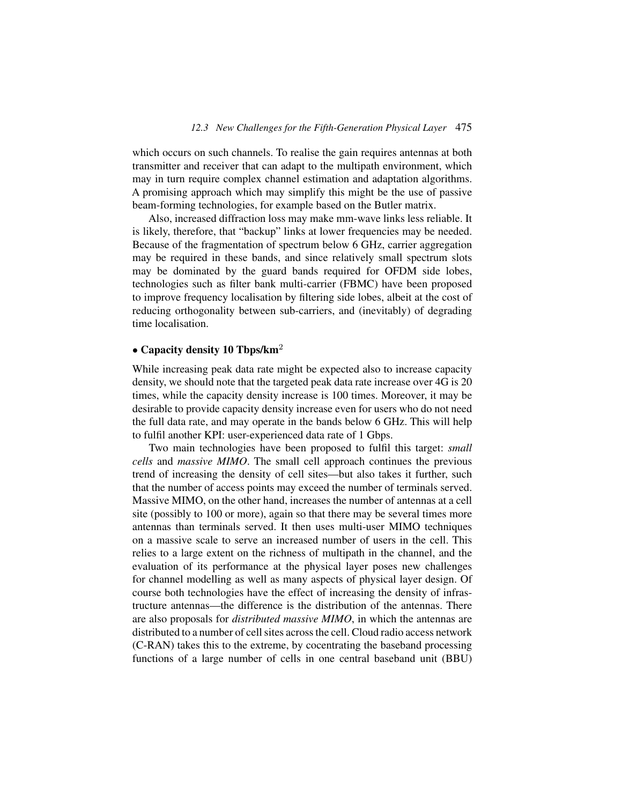which occurs on such channels. To realise the gain requires antennas at both transmitter and receiver that can adapt to the multipath environment, which may in turn require complex channel estimation and adaptation algorithms. A promising approach which may simplify this might be the use of passive beam-forming technologies, for example based on the Butler matrix.

Also, increased diffraction loss may make mm-wave links less reliable. It is likely, therefore, that "backup" links at lower frequencies may be needed. Because of the fragmentation of spectrum below 6 GHz, carrier aggregation may be required in these bands, and since relatively small spectrum slots may be dominated by the guard bands required for OFDM side lobes, technologies such as filter bank multi-carrier (FBMC) have been proposed to improve frequency localisation by filtering side lobes, albeit at the cost of reducing orthogonality between sub-carriers, and (inevitably) of degrading time localisation.

## • **Capacity density 10 Tbps/km**<sup>2</sup>

While increasing peak data rate might be expected also to increase capacity density, we should note that the targeted peak data rate increase over 4G is 20 times, while the capacity density increase is 100 times. Moreover, it may be desirable to provide capacity density increase even for users who do not need the full data rate, and may operate in the bands below 6 GHz. This will help to fulfil another KPI: user-experienced data rate of 1 Gbps.

Two main technologies have been proposed to fulfil this target: *small cells* and *massive MIMO*. The small cell approach continues the previous trend of increasing the density of cell sites—but also takes it further, such that the number of access points may exceed the number of terminals served. Massive MIMO, on the other hand, increases the number of antennas at a cell site (possibly to 100 or more), again so that there may be several times more antennas than terminals served. It then uses multi-user MIMO techniques on a massive scale to serve an increased number of users in the cell. This relies to a large extent on the richness of multipath in the channel, and the evaluation of its performance at the physical layer poses new challenges for channel modelling as well as many aspects of physical layer design. Of course both technologies have the effect of increasing the density of infrastructure antennas—the difference is the distribution of the antennas. There are also proposals for *distributed massive MIMO*, in which the antennas are distributed to a number of cell sites across the cell. Cloud radio access network (C-RAN) takes this to the extreme, by cocentrating the baseband processing functions of a large number of cells in one central baseband unit (BBU)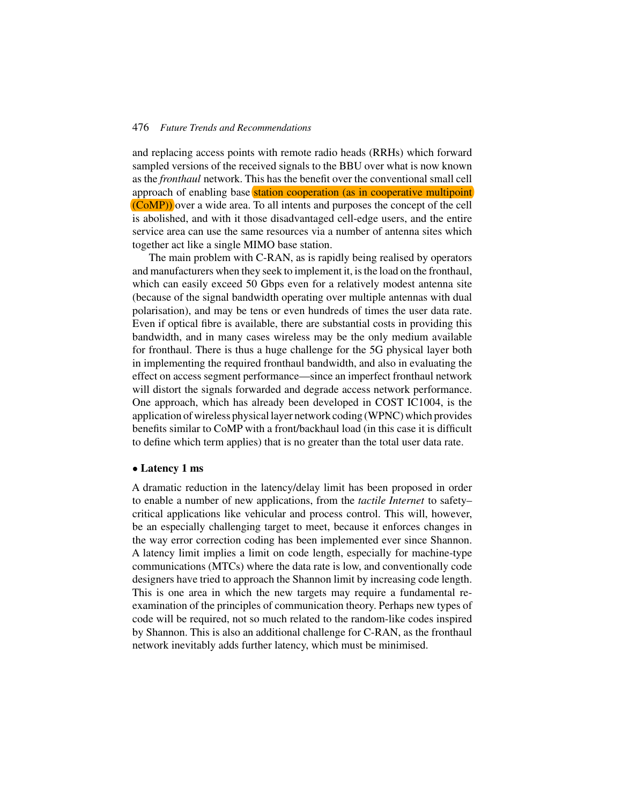and replacing access points with remote radio heads (RRHs) which forward sampled versions of the received signals to the BBU over what is now known as the *fronthaul* network. This has the benefit over the conventional small cell approach of enabling base station cooperation (as in cooperative multipoint (CoMP)) over a wide area. To all intents and purposes the concept of the cell is abolished, and with it those disadvantaged cell-edge users, and the entire service area can use the same resources via a number of antenna sites which together act like a single MIMO base station.

The main problem with C-RAN, as is rapidly being realised by operators and manufacturers when they seek to implement it, is the load on the fronthaul, which can easily exceed 50 Gbps even for a relatively modest antenna site (because of the signal bandwidth operating over multiple antennas with dual polarisation), and may be tens or even hundreds of times the user data rate. Even if optical fibre is available, there are substantial costs in providing this bandwidth, and in many cases wireless may be the only medium available for fronthaul. There is thus a huge challenge for the 5G physical layer both in implementing the required fronthaul bandwidth, and also in evaluating the effect on access segment performance—since an imperfect fronthaul network will distort the signals forwarded and degrade access network performance. One approach, which has already been developed in COST IC1004, is the application of wireless physical layer network coding (WPNC) which provides benefits similar to CoMP with a front/backhaul load (in this case it is difficult to define which term applies) that is no greater than the total user data rate.

#### • **Latency 1 ms**

A dramatic reduction in the latency/delay limit has been proposed in order to enable a number of new applications, from the *tactile Internet* to safety– critical applications like vehicular and process control. This will, however, be an especially challenging target to meet, because it enforces changes in the way error correction coding has been implemented ever since Shannon. A latency limit implies a limit on code length, especially for machine-type communications (MTCs) where the data rate is low, and conventionally code designers have tried to approach the Shannon limit by increasing code length. This is one area in which the new targets may require a fundamental reexamination of the principles of communication theory. Perhaps new types of code will be required, not so much related to the random-like codes inspired by Shannon. This is also an additional challenge for C-RAN, as the fronthaul network inevitably adds further latency, which must be minimised.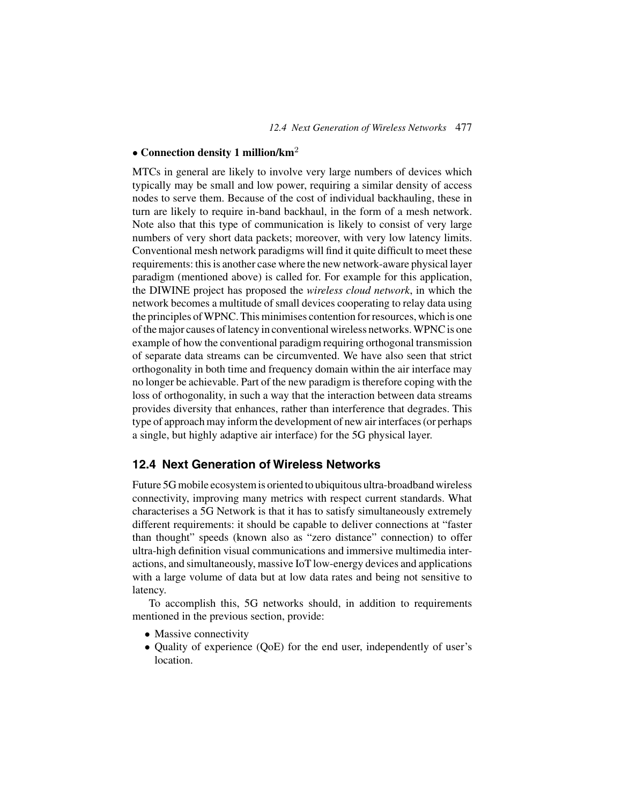#### • **Connection density 1 million/km**<sup>2</sup>

MTCs in general are likely to involve very large numbers of devices which typically may be small and low power, requiring a similar density of access nodes to serve them. Because of the cost of individual backhauling, these in turn are likely to require in-band backhaul, in the form of a mesh network. Note also that this type of communication is likely to consist of very large numbers of very short data packets; moreover, with very low latency limits. Conventional mesh network paradigms will find it quite difficult to meet these requirements: this is another case where the new network-aware physical layer paradigm (mentioned above) is called for. For example for this application, the DIWINE project has proposed the *wireless cloud network*, in which the network becomes a multitude of small devices cooperating to relay data using the principles ofWPNC. This minimises contention for resources, which is one of the major causes of latency in conventional wireless networks.WPNC is one example of how the conventional paradigm requiring orthogonal transmission of separate data streams can be circumvented. We have also seen that strict orthogonality in both time and frequency domain within the air interface may no longer be achievable. Part of the new paradigm is therefore coping with the loss of orthogonality, in such a way that the interaction between data streams provides diversity that enhances, rather than interference that degrades. This type of approach may inform the development of new air interfaces (or perhaps a single, but highly adaptive air interface) for the 5G physical layer.

## **12.4 Next Generation of Wireless Networks**

Future 5G mobile ecosystem is oriented to ubiquitous ultra-broadband wireless connectivity, improving many metrics with respect current standards. What characterises a 5G Network is that it has to satisfy simultaneously extremely different requirements: it should be capable to deliver connections at "faster than thought" speeds (known also as "zero distance" connection) to offer ultra-high definition visual communications and immersive multimedia interactions, and simultaneously, massive IoT low-energy devices and applications with a large volume of data but at low data rates and being not sensitive to latency.

To accomplish this, 5G networks should, in addition to requirements mentioned in the previous section, provide:

- Massive connectivity
- Quality of experience (QoE) for the end user, independently of user's location.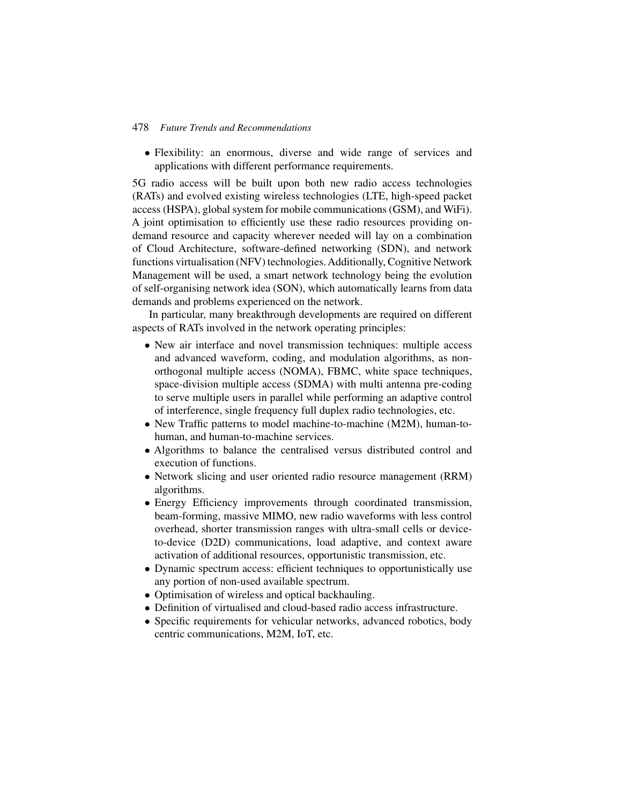• Flexibility: an enormous, diverse and wide range of services and applications with different performance requirements.

5G radio access will be built upon both new radio access technologies (RATs) and evolved existing wireless technologies (LTE, high-speed packet access (HSPA), global system for mobile communications (GSM), and WiFi). A joint optimisation to efficiently use these radio resources providing ondemand resource and capacity wherever needed will lay on a combination of Cloud Architecture, software-defined networking (SDN), and network functions virtualisation (NFV) technologies. Additionally, Cognitive Network Management will be used, a smart network technology being the evolution of self-organising network idea (SON), which automatically learns from data demands and problems experienced on the network.

In particular, many breakthrough developments are required on different aspects of RATs involved in the network operating principles:

- New air interface and novel transmission techniques: multiple access and advanced waveform, coding, and modulation algorithms, as nonorthogonal multiple access (NOMA), FBMC, white space techniques, space-division multiple access (SDMA) with multi antenna pre-coding to serve multiple users in parallel while performing an adaptive control of interference, single frequency full duplex radio technologies, etc.
- New Traffic patterns to model machine-to-machine (M2M), human-tohuman, and human-to-machine services.
- Algorithms to balance the centralised versus distributed control and execution of functions.
- Network slicing and user oriented radio resource management (RRM) algorithms.
- Energy Efficiency improvements through coordinated transmission, beam-forming, massive MIMO, new radio waveforms with less control overhead, shorter transmission ranges with ultra-small cells or deviceto-device (D2D) communications, load adaptive, and context aware activation of additional resources, opportunistic transmission, etc.
- Dynamic spectrum access: efficient techniques to opportunistically use any portion of non-used available spectrum.
- Optimisation of wireless and optical backhauling.
- Definition of virtualised and cloud-based radio access infrastructure.
- Specific requirements for vehicular networks, advanced robotics, body centric communications, M2M, IoT, etc.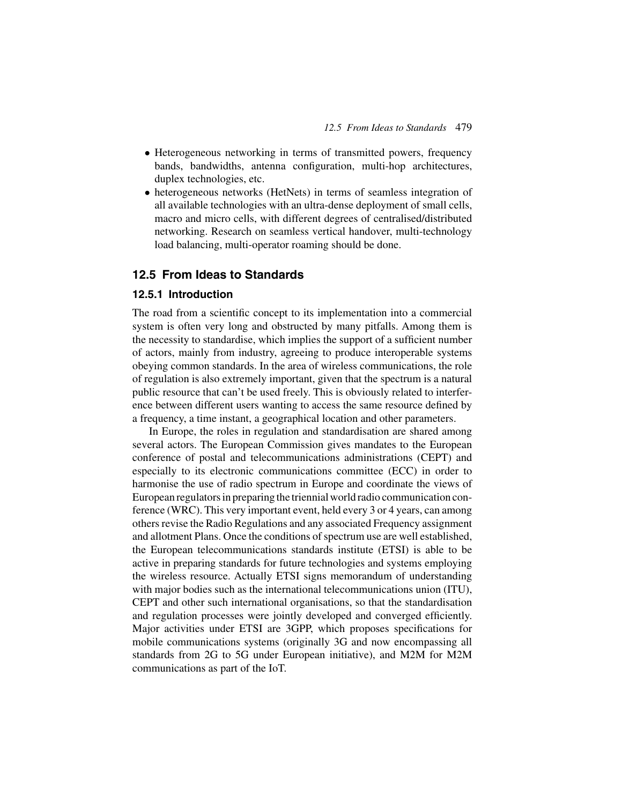- Heterogeneous networking in terms of transmitted powers, frequency bands, bandwidths, antenna configuration, multi-hop architectures, duplex technologies, etc.
- heterogeneous networks (HetNets) in terms of seamless integration of all available technologies with an ultra-dense deployment of small cells, macro and micro cells, with different degrees of centralised/distributed networking. Research on seamless vertical handover, multi-technology load balancing, multi-operator roaming should be done.

## **12.5 From Ideas to Standards**

#### **12.5.1 Introduction**

The road from a scientific concept to its implementation into a commercial system is often very long and obstructed by many pitfalls. Among them is the necessity to standardise, which implies the support of a sufficient number of actors, mainly from industry, agreeing to produce interoperable systems obeying common standards. In the area of wireless communications, the role of regulation is also extremely important, given that the spectrum is a natural public resource that can't be used freely. This is obviously related to interference between different users wanting to access the same resource defined by a frequency, a time instant, a geographical location and other parameters.

In Europe, the roles in regulation and standardisation are shared among several actors. The European Commission gives mandates to the European conference of postal and telecommunications administrations (CEPT) and especially to its electronic communications committee (ECC) in order to harmonise the use of radio spectrum in Europe and coordinate the views of European regulators in preparing the triennial world radio communication conference (WRC). This very important event, held every 3 or 4 years, can among others revise the Radio Regulations and any associated Frequency assignment and allotment Plans. Once the conditions of spectrum use are well established, the European telecommunications standards institute (ETSI) is able to be active in preparing standards for future technologies and systems employing the wireless resource. Actually ETSI signs memorandum of understanding with major bodies such as the international telecommunications union (ITU), CEPT and other such international organisations, so that the standardisation and regulation processes were jointly developed and converged efficiently. Major activities under ETSI are 3GPP, which proposes specifications for mobile communications systems (originally 3G and now encompassing all standards from 2G to 5G under European initiative), and M2M for M2M communications as part of the IoT.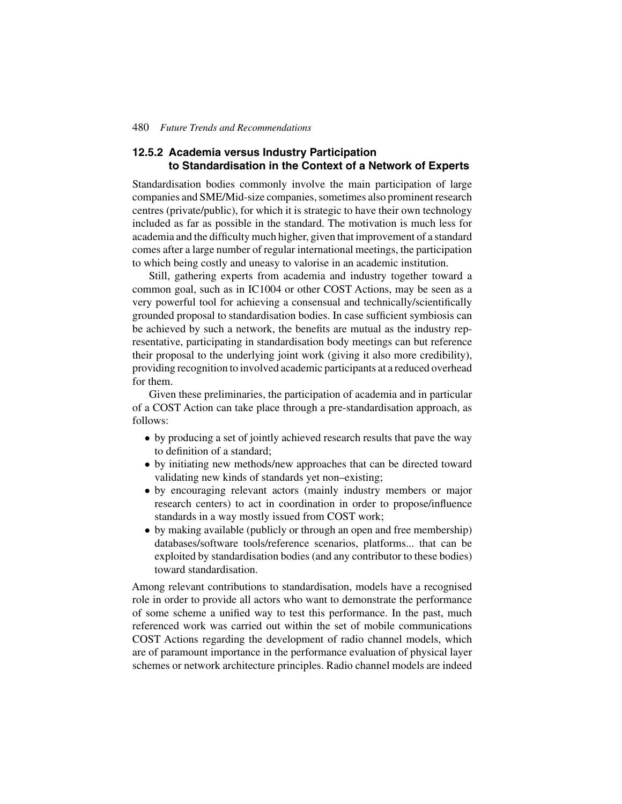## **12.5.2 Academia versus Industry Participation to Standardisation in the Context of a Network of Experts**

Standardisation bodies commonly involve the main participation of large companies and SME/Mid-size companies, sometimes also prominent research centres (private/public), for which it is strategic to have their own technology included as far as possible in the standard. The motivation is much less for academia and the difficulty much higher, given that improvement of a standard comes after a large number of regular international meetings, the participation to which being costly and uneasy to valorise in an academic institution.

Still, gathering experts from academia and industry together toward a common goal, such as in IC1004 or other COST Actions, may be seen as a very powerful tool for achieving a consensual and technically/scientifically grounded proposal to standardisation bodies. In case sufficient symbiosis can be achieved by such a network, the benefits are mutual as the industry representative, participating in standardisation body meetings can but reference their proposal to the underlying joint work (giving it also more credibility), providing recognition to involved academic participants at a reduced overhead for them.

Given these preliminaries, the participation of academia and in particular of a COST Action can take place through a pre-standardisation approach, as follows:

- by producing a set of jointly achieved research results that pave the way to definition of a standard;
- by initiating new methods/new approaches that can be directed toward validating new kinds of standards yet non–existing;
- by encouraging relevant actors (mainly industry members or major research centers) to act in coordination in order to propose/influence standards in a way mostly issued from COST work;
- by making available (publicly or through an open and free membership) databases/software tools/reference scenarios, platforms... that can be exploited by standardisation bodies (and any contributor to these bodies) toward standardisation.

Among relevant contributions to standardisation, models have a recognised role in order to provide all actors who want to demonstrate the performance of some scheme a unified way to test this performance. In the past, much referenced work was carried out within the set of mobile communications COST Actions regarding the development of radio channel models, which are of paramount importance in the performance evaluation of physical layer schemes or network architecture principles. Radio channel models are indeed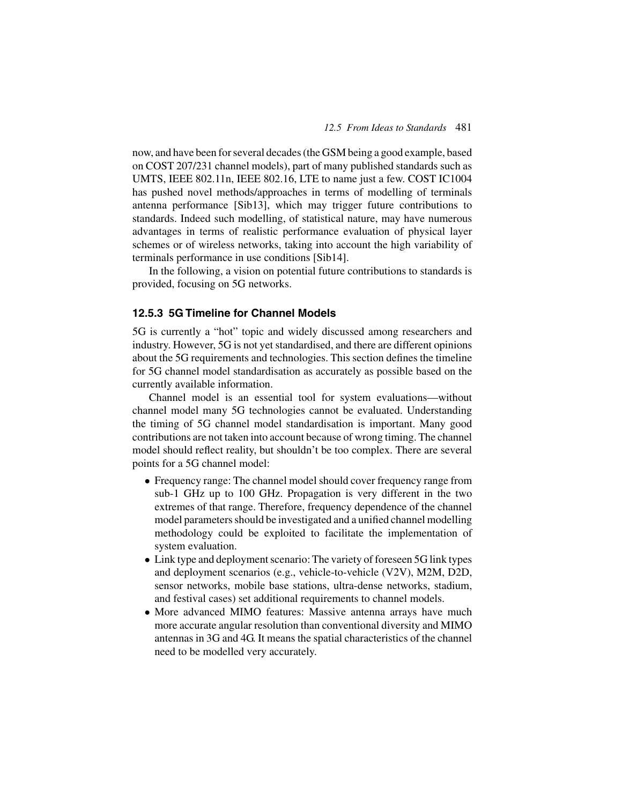now, and have been for several decades (the GSM being a good example, based on COST 207/231 channel models), part of many published standards such as UMTS, IEEE 802.11n, IEEE 802.16, LTE to name just a few. COST IC1004 has pushed novel methods/approaches in terms of modelling of terminals antenna performance [Sib13], which may trigger future contributions to standards. Indeed such modelling, of statistical nature, may have numerous advantages in terms of realistic performance evaluation of physical layer schemes or of wireless networks, taking into account the high variability of terminals performance in use conditions [Sib14].

In the following, a vision on potential future contributions to standards is provided, focusing on 5G networks.

#### **12.5.3 5G Timeline for Channel Models**

5G is currently a "hot" topic and widely discussed among researchers and industry. However, 5G is not yet standardised, and there are different opinions about the 5G requirements and technologies. This section defines the timeline for 5G channel model standardisation as accurately as possible based on the currently available information.

Channel model is an essential tool for system evaluations—without channel model many 5G technologies cannot be evaluated. Understanding the timing of 5G channel model standardisation is important. Many good contributions are not taken into account because of wrong timing. The channel model should reflect reality, but shouldn't be too complex. There are several points for a 5G channel model:

- Frequency range: The channel model should cover frequency range from sub-1 GHz up to 100 GHz. Propagation is very different in the two extremes of that range. Therefore, frequency dependence of the channel model parameters should be investigated and a unified channel modelling methodology could be exploited to facilitate the implementation of system evaluation.
- Link type and deployment scenario: The variety of foreseen 5G link types and deployment scenarios (e.g., vehicle-to-vehicle (V2V), M2M, D2D, sensor networks, mobile base stations, ultra-dense networks, stadium, and festival cases) set additional requirements to channel models.
- More advanced MIMO features: Massive antenna arrays have much more accurate angular resolution than conventional diversity and MIMO antennas in 3G and 4G. It means the spatial characteristics of the channel need to be modelled very accurately.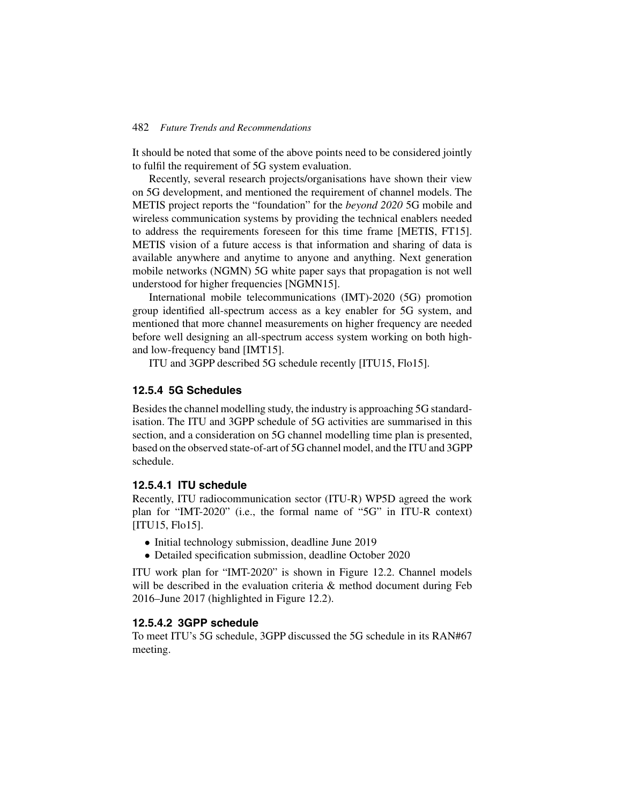It should be noted that some of the above points need to be considered jointly to fulfil the requirement of 5G system evaluation.

Recently, several research projects/organisations have shown their view on 5G development, and mentioned the requirement of channel models. The METIS project reports the "foundation" for the *beyond 2020* 5G mobile and wireless communication systems by providing the technical enablers needed to address the requirements foreseen for this time frame [METIS, FT15]. METIS vision of a future access is that information and sharing of data is available anywhere and anytime to anyone and anything. Next generation mobile networks (NGMN) 5G white paper says that propagation is not well understood for higher frequencies [NGMN15].

International mobile telecommunications (IMT)-2020 (5G) promotion group identified all-spectrum access as a key enabler for 5G system, and mentioned that more channel measurements on higher frequency are needed before well designing an all-spectrum access system working on both highand low-frequency band [IMT15].

ITU and 3GPP described 5G schedule recently [ITU15, Flo15].

## **12.5.4 5G Schedules**

Besides the channel modelling study, the industry is approaching 5G standardisation. The ITU and 3GPP schedule of 5G activities are summarised in this section, and a consideration on 5G channel modelling time plan is presented, based on the observed state-of-art of 5G channel model, and the ITU and 3GPP schedule.

#### **12.5.4.1 ITU schedule**

Recently, ITU radiocommunication sector (ITU-R) WP5D agreed the work plan for "IMT-2020" (i.e., the formal name of "5G" in ITU-R context) [ITU15, Flo15].

- Initial technology submission, deadline June 2019
- Detailed specification submission, deadline October 2020

ITU work plan for "IMT-2020" is shown in Figure 12.2. Channel models will be described in the evaluation criteria & method document during Feb 2016–June 2017 (highlighted in Figure 12.2).

#### **12.5.4.2 3GPP schedule**

To meet ITU's 5G schedule, 3GPP discussed the 5G schedule in its RAN#67 meeting.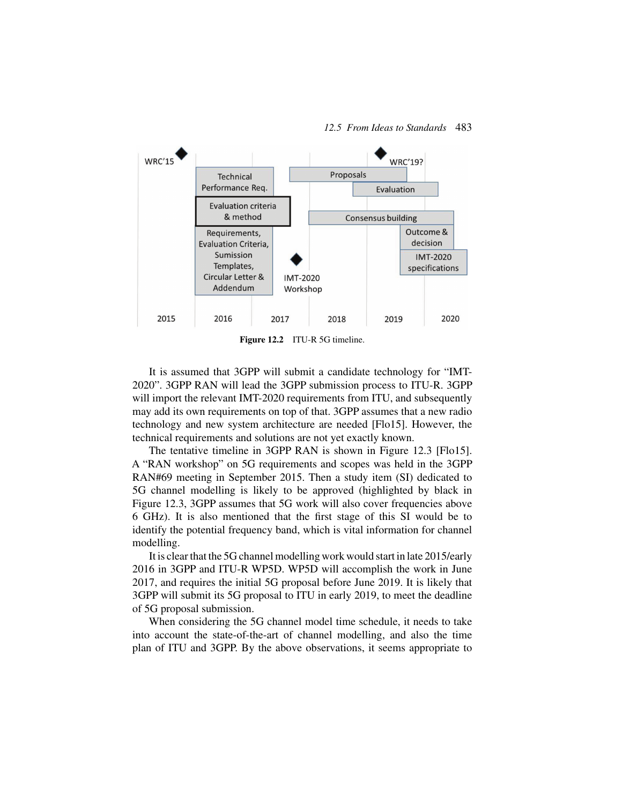

**Figure 12.2** ITU-R 5G timeline.

It is assumed that 3GPP will submit a candidate technology for "IMT-2020". 3GPP RAN will lead the 3GPP submission process to ITU-R. 3GPP will import the relevant IMT-2020 requirements from ITU, and subsequently may add its own requirements on top of that. 3GPP assumes that a new radio technology and new system architecture are needed [Flo15]. However, the technical requirements and solutions are not yet exactly known.

The tentative timeline in 3GPP RAN is shown in Figure 12.3 [Flo15]. A "RAN workshop" on 5G requirements and scopes was held in the 3GPP RAN#69 meeting in September 2015. Then a study item (SI) dedicated to 5G channel modelling is likely to be approved (highlighted by black in Figure 12.3, 3GPP assumes that 5G work will also cover frequencies above 6 GHz). It is also mentioned that the first stage of this SI would be to identify the potential frequency band, which is vital information for channel modelling.

It is clear that the 5G channel modelling work would start in late 2015/early 2016 in 3GPP and ITU-R WP5D. WP5D will accomplish the work in June 2017, and requires the initial 5G proposal before June 2019. It is likely that 3GPP will submit its 5G proposal to ITU in early 2019, to meet the deadline of 5G proposal submission.

When considering the 5G channel model time schedule, it needs to take into account the state-of-the-art of channel modelling, and also the time plan of ITU and 3GPP. By the above observations, it seems appropriate to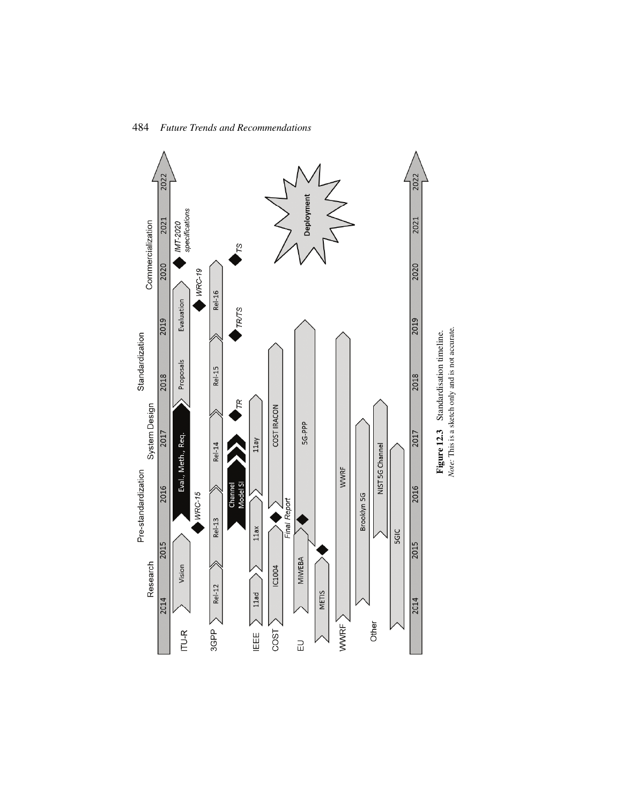